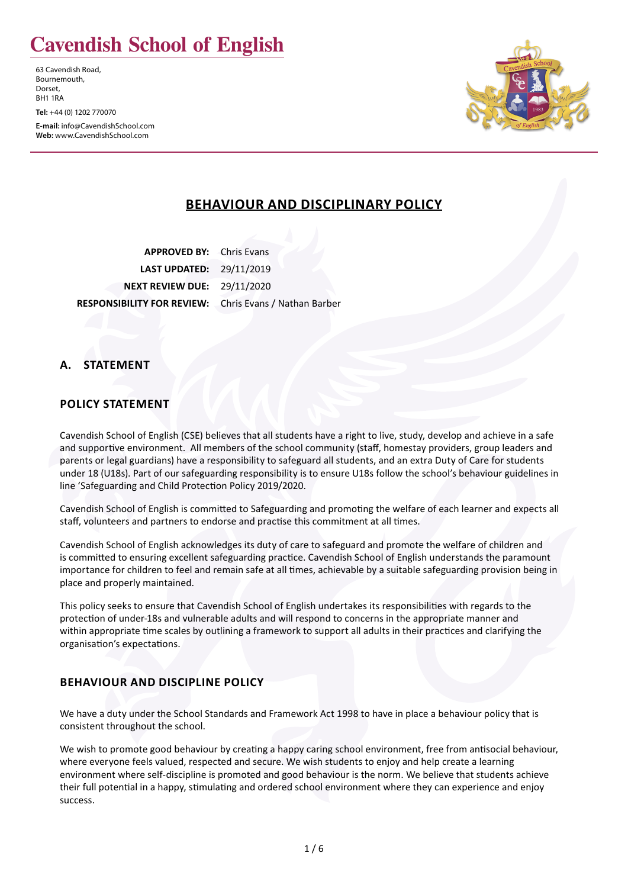# **Cavendish School of English**

63 Cavendish Road, Bournemouth, Dorset, BH1 1RA

**Tel:** +44 (0) 1202 770070

**E-mail:** info@CavendishSchool.com **Web:** www.CavendishSchool.com



# **BEHAVIOUR AND DISCIPLINARY POLICY**

**APPROVED BY:** Chris Evans **LAST UPDATED:** 29/11/2019 **NEXT REVIEW DUE:** 29/11/2020 **RESPONSIBILITY FOR REVIEW:** Chris Evans / Nathan Barber

# **A. STATEMENT**

# **POLICY STATEMENT**

Cavendish School of English (CSE) believes that all students have a right to live, study, develop and achieve in a safe and supportive environment. All members of the school community (staff, homestay providers, group leaders and parents or legal guardians) have a responsibility to safeguard all students, and an extra Duty of Care for students under 18 (U18s). Part of our safeguarding responsibility is to ensure U18s follow the school's behaviour guidelines in line 'Safeguarding and Child Protection Policy 2019/2020.

Cavendish School of English is committed to Safeguarding and promoting the welfare of each learner and expects all staff, volunteers and partners to endorse and practise this commitment at all times.

Cavendish School of English acknowledges its duty of care to safeguard and promote the welfare of children and is committed to ensuring excellent safeguarding practice. Cavendish School of English understands the paramount importance for children to feel and remain safe at all times, achievable by a suitable safeguarding provision being in place and properly maintained.

This policy seeks to ensure that Cavendish School of English undertakes its responsibilities with regards to the protection of under-18s and vulnerable adults and will respond to concerns in the appropriate manner and within appropriate time scales by outlining a framework to support all adults in their practices and clarifying the organisation's expectations.

# **BEHAVIOUR AND DISCIPLINE POLICY**

We have a duty under the School Standards and Framework Act 1998 to have in place a behaviour policy that is consistent throughout the school.

We wish to promote good behaviour by creating a happy caring school environment, free from antisocial behaviour, where everyone feels valued, respected and secure. We wish students to enjoy and help create a learning environment where self-discipline is promoted and good behaviour is the norm. We believe that students achieve their full potential in a happy, stimulating and ordered school environment where they can experience and enjoy success.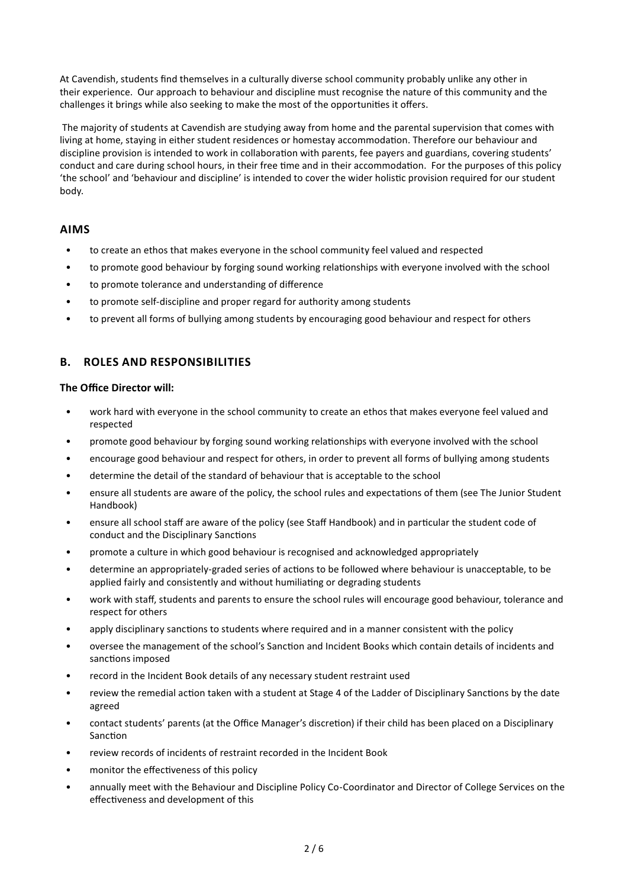At Cavendish, students find themselves in a culturally diverse school community probably unlike any other in their experience. Our approach to behaviour and discipline must recognise the nature of this community and the challenges it brings while also seeking to make the most of the opportunities it offers.

 The majority of students at Cavendish are studying away from home and the parental supervision that comes with living at home, staying in either student residences or homestay accommodation. Therefore our behaviour and discipline provision is intended to work in collaboration with parents, fee payers and guardians, covering students' conduct and care during school hours, in their free time and in their accommodation. For the purposes of this policy 'the school' and 'behaviour and discipline' is intended to cover the wider holistic provision required for our student body.

## **AIMS**

- to create an ethos that makes everyone in the school community feel valued and respected
- to promote good behaviour by forging sound working relationships with everyone involved with the school
- to promote tolerance and understanding of difference
- to promote self-discipline and proper regard for authority among students
- to prevent all forms of bullying among students by encouraging good behaviour and respect for others

# **B. ROLES AND RESPONSIBILITIES**

#### **The Office Director will:**

- work hard with everyone in the school community to create an ethos that makes everyone feel valued and respected
- promote good behaviour by forging sound working relationships with everyone involved with the school
- encourage good behaviour and respect for others, in order to prevent all forms of bullying among students
- determine the detail of the standard of behaviour that is acceptable to the school
- ensure all students are aware of the policy, the school rules and expectations of them (see The Junior Student Handbook)
- ensure all school staff are aware of the policy (see Staff Handbook) and in particular the student code of conduct and the Disciplinary Sanctions
- promote a culture in which good behaviour is recognised and acknowledged appropriately
- determine an appropriately-graded series of actions to be followed where behaviour is unacceptable, to be applied fairly and consistently and without humiliating or degrading students
- work with staff, students and parents to ensure the school rules will encourage good behaviour, tolerance and respect for others
- apply disciplinary sanctions to students where required and in a manner consistent with the policy
- oversee the management of the school's Sanction and Incident Books which contain details of incidents and sanctions imposed
- record in the Incident Book details of any necessary student restraint used
- review the remedial action taken with a student at Stage 4 of the Ladder of Disciplinary Sanctions by the date agreed
- contact students' parents (at the Office Manager's discretion) if their child has been placed on a Disciplinary Sanction
- review records of incidents of restraint recorded in the Incident Book
- monitor the effectiveness of this policy
- annually meet with the Behaviour and Discipline Policy Co-Coordinator and Director of College Services on the effectiveness and development of this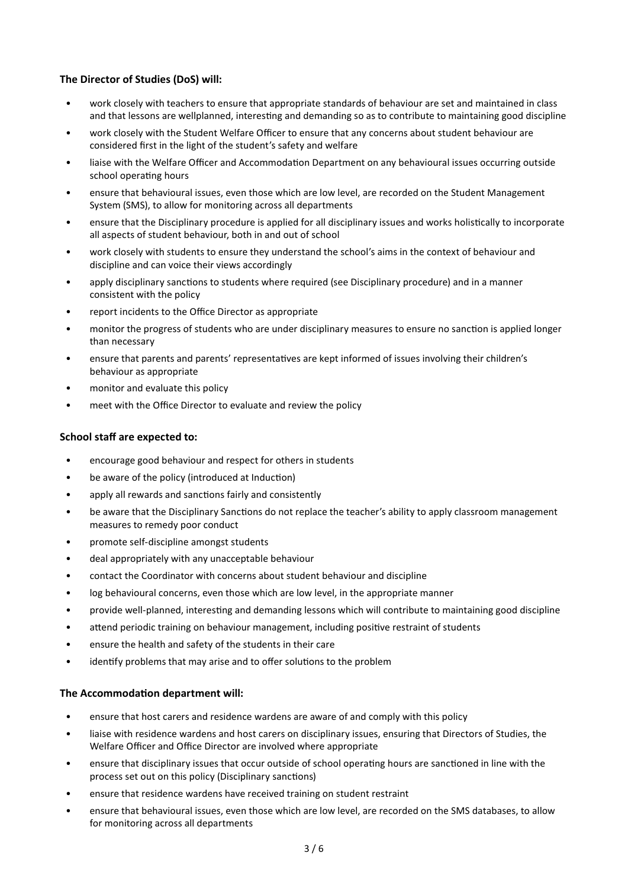## **The Director of Studies (DoS) will:**

- work closely with teachers to ensure that appropriate standards of behaviour are set and maintained in class and that lessons are wellplanned, interesting and demanding so as to contribute to maintaining good discipline
- work closely with the Student Welfare Officer to ensure that any concerns about student behaviour are considered first in the light of the student's safety and welfare
- liaise with the Welfare Officer and Accommodation Department on any behavioural issues occurring outside school operating hours
- ensure that behavioural issues, even those which are low level, are recorded on the Student Management System (SMS), to allow for monitoring across all departments
- ensure that the Disciplinary procedure is applied for all disciplinary issues and works holistically to incorporate all aspects of student behaviour, both in and out of school
- work closely with students to ensure they understand the school's aims in the context of behaviour and discipline and can voice their views accordingly
- apply disciplinary sanctions to students where required (see Disciplinary procedure) and in a manner consistent with the policy
- report incidents to the Office Director as appropriate
- monitor the progress of students who are under disciplinary measures to ensure no sanction is applied longer than necessary
- ensure that parents and parents' representatives are kept informed of issues involving their children's behaviour as appropriate
- monitor and evaluate this policy
- meet with the Office Director to evaluate and review the policy

## **School staff are expected to:**

- encourage good behaviour and respect for others in students
- be aware of the policy (introduced at Induction)
- apply all rewards and sanctions fairly and consistently
- be aware that the Disciplinary Sanctions do not replace the teacher's ability to apply classroom management measures to remedy poor conduct
- promote self-discipline amongst students
- deal appropriately with any unacceptable behaviour
- contact the Coordinator with concerns about student behaviour and discipline
- log behavioural concerns, even those which are low level, in the appropriate manner
- provide well-planned, interesting and demanding lessons which will contribute to maintaining good discipline
- attend periodic training on behaviour management, including positive restraint of students
- ensure the health and safety of the students in their care
- identify problems that may arise and to offer solutions to the problem

#### **The Accommodation department will:**

- ensure that host carers and residence wardens are aware of and comply with this policy
- liaise with residence wardens and host carers on disciplinary issues, ensuring that Directors of Studies, the Welfare Officer and Office Director are involved where appropriate
- ensure that disciplinary issues that occur outside of school operating hours are sanctioned in line with the process set out on this policy (Disciplinary sanctions)
- ensure that residence wardens have received training on student restraint
- ensure that behavioural issues, even those which are low level, are recorded on the SMS databases, to allow for monitoring across all departments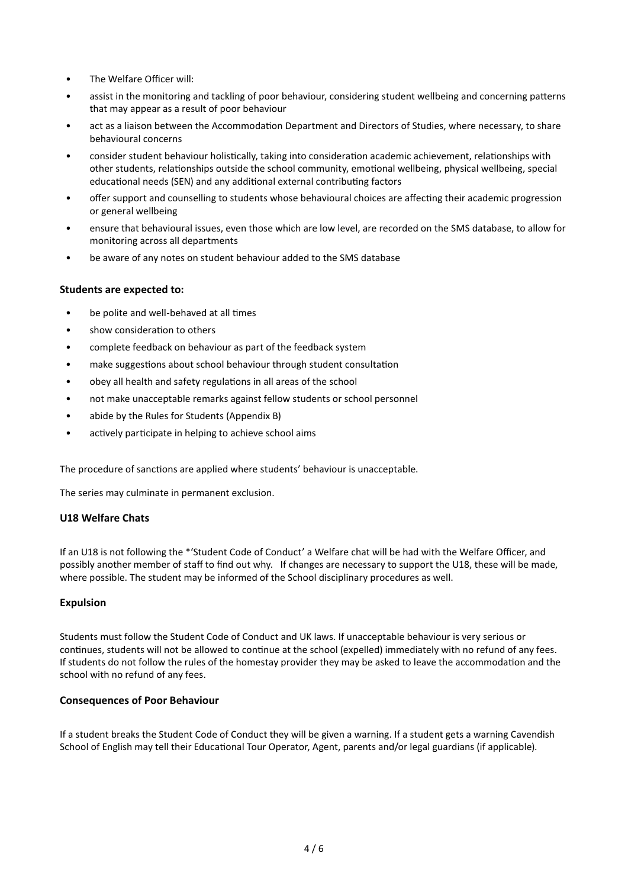- The Welfare Officer will:
- assist in the monitoring and tackling of poor behaviour, considering student wellbeing and concerning patterns that may appear as a result of poor behaviour
- act as a liaison between the Accommodation Department and Directors of Studies, where necessary, to share behavioural concerns
- consider student behaviour holistically, taking into consideration academic achievement, relationships with other students, relationships outside the school community, emotional wellbeing, physical wellbeing, special educational needs (SEN) and any additional external contributing factors
- offer support and counselling to students whose behavioural choices are affecting their academic progression or general wellbeing
- ensure that behavioural issues, even those which are low level, are recorded on the SMS database, to allow for monitoring across all departments
- be aware of any notes on student behaviour added to the SMS database

## **Students are expected to:**

- be polite and well-behaved at all times
- show consideration to others
- complete feedback on behaviour as part of the feedback system
- make suggestions about school behaviour through student consultation
- obey all health and safety regulations in all areas of the school
- not make unacceptable remarks against fellow students or school personnel
- abide by the Rules for Students (Appendix B)
- actively participate in helping to achieve school aims

The procedure of sanctions are applied where students' behaviour is unacceptable.

The series may culminate in permanent exclusion.

## **U18 Welfare Chats**

If an U18 is not following the \*'Student Code of Conduct' a Welfare chat will be had with the Welfare Officer, and possibly another member of staff to find out why. If changes are necessary to support the U18, these will be made, where possible. The student may be informed of the School disciplinary procedures as well.

## **Expulsion**

Students must follow the Student Code of Conduct and UK laws. If unacceptable behaviour is very serious or continues, students will not be allowed to continue at the school (expelled) immediately with no refund of any fees. If students do not follow the rules of the homestay provider they may be asked to leave the accommodation and the school with no refund of any fees.

## **Consequences of Poor Behaviour**

If a student breaks the Student Code of Conduct they will be given a warning. If a student gets a warning Cavendish School of English may tell their Educational Tour Operator, Agent, parents and/or legal guardians (if applicable).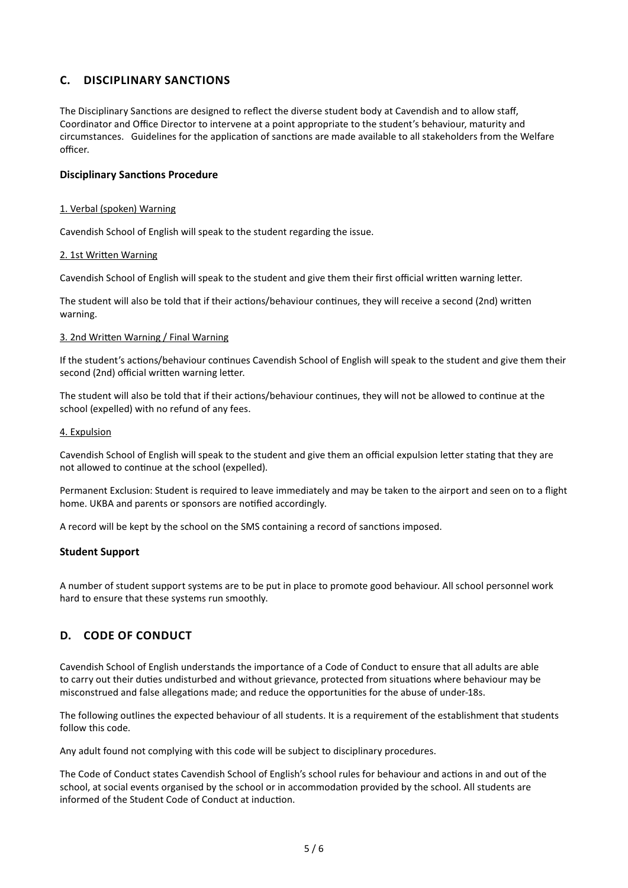# **C. DISCIPLINARY SANCTIONS**

The Disciplinary Sanctions are designed to reflect the diverse student body at Cavendish and to allow staff, Coordinator and Office Director to intervene at a point appropriate to the student's behaviour, maturity and circumstances. Guidelines for the application of sanctions are made available to all stakeholders from the Welfare officer.

#### **Disciplinary Sanctions Procedure**

#### 1. Verbal (spoken) Warning

Cavendish School of English will speak to the student regarding the issue.

#### 2. 1st Written Warning

Cavendish School of English will speak to the student and give them their first official written warning letter.

The student will also be told that if their actions/behaviour continues, they will receive a second (2nd) written warning.

#### 3. 2nd Written Warning / Final Warning

If the student's actions/behaviour continues Cavendish School of English will speak to the student and give them their second (2nd) official written warning letter.

The student will also be told that if their actions/behaviour continues, they will not be allowed to continue at the school (expelled) with no refund of any fees.

#### 4. Expulsion

Cavendish School of English will speak to the student and give them an official expulsion letter stating that they are not allowed to continue at the school (expelled).

Permanent Exclusion: Student is required to leave immediately and may be taken to the airport and seen on to a flight home. UKBA and parents or sponsors are notified accordingly.

A record will be kept by the school on the SMS containing a record of sanctions imposed.

#### **Student Support**

A number of student support systems are to be put in place to promote good behaviour. All school personnel work hard to ensure that these systems run smoothly.

# **D. CODE OF CONDUCT**

Cavendish School of English understands the importance of a Code of Conduct to ensure that all adults are able to carry out their duties undisturbed and without grievance, protected from situations where behaviour may be misconstrued and false allegations made; and reduce the opportunities for the abuse of under-18s.

The following outlines the expected behaviour of all students. It is a requirement of the establishment that students follow this code.

Any adult found not complying with this code will be subject to disciplinary procedures.

The Code of Conduct states Cavendish School of English's school rules for behaviour and actions in and out of the school, at social events organised by the school or in accommodation provided by the school. All students are informed of the Student Code of Conduct at induction.